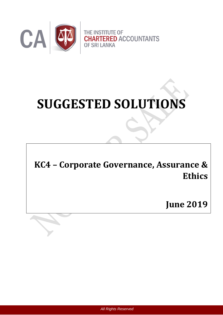

# **SUGGESTED SOLUTIONS**

**KC4 – Corporate Governance, Assurance & Ethics**

**June 2019**

*All Rights Reserved*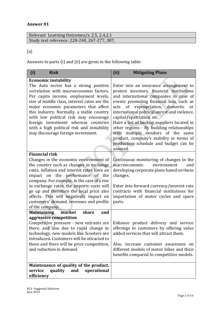# **Answer 01**

| Relevant Learning Outcomes/s; 2.5, 2.4, 2.1  |
|----------------------------------------------|
| Study text reference: 228-240, 267-277, 387, |

# (a)

Answers to parts (i) and (ii) are given in the following table:

| <b>Risk</b><br>(i)                                                                                                                                                                                                                                                                                                                                                                                                                   | (ii)<br><b>Mitigating Plans</b>                                                                                                                                                                                                                                                                                                                                                                                                                                                                                                            |
|--------------------------------------------------------------------------------------------------------------------------------------------------------------------------------------------------------------------------------------------------------------------------------------------------------------------------------------------------------------------------------------------------------------------------------------|--------------------------------------------------------------------------------------------------------------------------------------------------------------------------------------------------------------------------------------------------------------------------------------------------------------------------------------------------------------------------------------------------------------------------------------------------------------------------------------------------------------------------------------------|
| <b>Economic instability</b>                                                                                                                                                                                                                                                                                                                                                                                                          |                                                                                                                                                                                                                                                                                                                                                                                                                                                                                                                                            |
| The Auto sector has a strong positive<br>correlation with macroeconomic factors.<br>Per capita income, employment levels,<br>size of middle class, interest rates are the<br>major economic parameters that affect<br>this industry. Normally, a stable country<br>with low political risk may encourage<br>foreign investment whereas countries<br>with a high political risk and instability<br>may discourage foreign investment. | Enter into an insurance arrangement to<br>protect investors, financial institutions<br>and international companies in case of<br>events promoting financial loss, such as<br>expropriation, domestic<br>of<br>acts<br>or<br>international political unrest and violence,<br>capital repatriation, etc.<br>Have a list of backup suppliers located in<br>other regions - By building relationships<br>with multiple vendors of the<br>same<br>product, company's stability in terms of<br>production schedule and budget can be<br>assured. |
| <b>Financial risk</b>                                                                                                                                                                                                                                                                                                                                                                                                                |                                                                                                                                                                                                                                                                                                                                                                                                                                                                                                                                            |
| Changes in the economic environment of<br>the country such as changes in exchange<br>rates, inflation and interest rates have an<br>impact on the performance of the<br>company. For example, in the case of a rise<br>in exchange rates, the imports costs will<br>go up and therefore the local price also<br>affects. This will negatively impact on<br>customers' demand, revenues and profits<br>of the company.                | Continuous monitoring of changes in the<br>macroeconomic<br>environment<br>and<br>developing corporate plans based on these<br>changes.<br>Enter into forward currency/interest rate<br>contracts with financial institutions for<br>importation of motor cycles and spare<br>parts.                                                                                                                                                                                                                                                       |
| <b>Maintaining</b><br>market<br>share<br>and                                                                                                                                                                                                                                                                                                                                                                                         |                                                                                                                                                                                                                                                                                                                                                                                                                                                                                                                                            |
| aggressive competition<br>Competitive pressure - new entrants are<br>there, and also due to rapid change in<br>technology, new models like Scooters are<br>introduced. Customers will be attracted to<br>these and there will be price competition,<br>and reduction in demand.                                                                                                                                                      | Enhance product delivery and service<br>offerings to customers by offering value<br>added services that will attract them.<br>Also, increase customer awareness on<br>different models of motor bikes and their<br>benefits compared to competitive models.                                                                                                                                                                                                                                                                                |
| Maintenance of quality of the product,<br>quality<br>service<br>and<br>operational<br>efficiency                                                                                                                                                                                                                                                                                                                                     |                                                                                                                                                                                                                                                                                                                                                                                                                                                                                                                                            |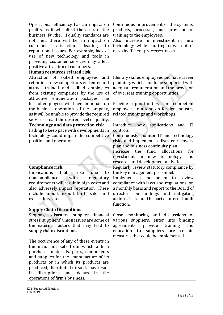| Operational efficiency has an impact on<br>profits, as it will affect the costs of the<br>business. Further, if quality standards are<br>not met, there will be an impact on<br>satisfaction<br>leading<br>customer<br>to<br>reputational issues. For example, lack of<br>use of new technology and tools in<br>providing customer services may affect<br>positive attraction of customers.               | Continuous improvement of the systems,<br>products, processes, and provision of<br>training to the employees.<br>Also, increase in investment in new<br>technology while shutting down out of<br>date/inefficient processes, tasks.                                                               |
|-----------------------------------------------------------------------------------------------------------------------------------------------------------------------------------------------------------------------------------------------------------------------------------------------------------------------------------------------------------------------------------------------------------|---------------------------------------------------------------------------------------------------------------------------------------------------------------------------------------------------------------------------------------------------------------------------------------------------|
| Human resources related risk                                                                                                                                                                                                                                                                                                                                                                              |                                                                                                                                                                                                                                                                                                   |
| Attraction of skilled employees<br>and<br>retention - new competitors will enter and<br>attract trained and skilled employees<br>from existing companies by the use of<br>attractive remuneration packages. The<br>loss of employees will have an impact on<br>the business operations of the company,<br>as it will be unable to provide the required<br>services etc., at the desired level of quality. | Identify skilled employees and have career<br>planning, which should be supported with<br>adequate remuneration and the provision<br>of overseas training opportunities.<br>Provide opportunities for<br>competent<br>employees to attend on foreign industry<br>related trainings and workshops. |
| <b>Technology and data protection risk</b>                                                                                                                                                                                                                                                                                                                                                                | Introduce<br>applications<br>IT<br>and<br>new                                                                                                                                                                                                                                                     |
| Failing to keep pace with developments in                                                                                                                                                                                                                                                                                                                                                                 | controls.                                                                                                                                                                                                                                                                                         |
| technology could impair the competitive                                                                                                                                                                                                                                                                                                                                                                   | Continuously monitor IT and technology                                                                                                                                                                                                                                                            |
| position and operations.                                                                                                                                                                                                                                                                                                                                                                                  | risks and implement a disaster recovery                                                                                                                                                                                                                                                           |
|                                                                                                                                                                                                                                                                                                                                                                                                           | plan and business continuity plan.                                                                                                                                                                                                                                                                |
|                                                                                                                                                                                                                                                                                                                                                                                                           | fund<br>allocations<br>Increase<br>the<br>for<br>investment in<br>technology<br>new<br>and<br>research and development activities.                                                                                                                                                                |
| <b>Compliance risk</b>                                                                                                                                                                                                                                                                                                                                                                                    | Regularly review statutory compliance by                                                                                                                                                                                                                                                          |
| Implications<br>that<br>due<br>arise<br>to                                                                                                                                                                                                                                                                                                                                                                | the key management personnel.                                                                                                                                                                                                                                                                     |
| with<br>noncompliance<br>regulatory                                                                                                                                                                                                                                                                                                                                                                       | mechanism to review<br>a<br>Implement                                                                                                                                                                                                                                                             |
| requirements will result in high costs and                                                                                                                                                                                                                                                                                                                                                                | compliance with laws and regulations, on                                                                                                                                                                                                                                                          |
| also adversely impact reputation. These                                                                                                                                                                                                                                                                                                                                                                   | a monthly basis and report to the Board of                                                                                                                                                                                                                                                        |
| include import, export tariff, sales and                                                                                                                                                                                                                                                                                                                                                                  | directors on findings and mitigating                                                                                                                                                                                                                                                              |
| excise duty, etc.                                                                                                                                                                                                                                                                                                                                                                                         | actions. This could be part of internal audit                                                                                                                                                                                                                                                     |
|                                                                                                                                                                                                                                                                                                                                                                                                           | function.                                                                                                                                                                                                                                                                                         |
| <b>Supply Chain Disruptions</b>                                                                                                                                                                                                                                                                                                                                                                           |                                                                                                                                                                                                                                                                                                   |
| Stoppage, disasters, supplier financial                                                                                                                                                                                                                                                                                                                                                                   | Close monitoring and discussions of                                                                                                                                                                                                                                                               |
| stress, suppliers' union issues are some of<br>the external factors that may lead to                                                                                                                                                                                                                                                                                                                      | various suppliers, enter into binding<br>provide<br>agreements,<br>training<br>and                                                                                                                                                                                                                |
| supply chain disruptions.                                                                                                                                                                                                                                                                                                                                                                                 | education to<br>suppliers<br>are<br>certain                                                                                                                                                                                                                                                       |
|                                                                                                                                                                                                                                                                                                                                                                                                           | measures that could be implemented.                                                                                                                                                                                                                                                               |
| The occurrence of any of these events in                                                                                                                                                                                                                                                                                                                                                                  |                                                                                                                                                                                                                                                                                                   |
| the major markets from which a firm                                                                                                                                                                                                                                                                                                                                                                       |                                                                                                                                                                                                                                                                                                   |
| purchases materials, parts, components                                                                                                                                                                                                                                                                                                                                                                    |                                                                                                                                                                                                                                                                                                   |
| and supplies for the manufacture of its                                                                                                                                                                                                                                                                                                                                                                   |                                                                                                                                                                                                                                                                                                   |
| products or in which its products are                                                                                                                                                                                                                                                                                                                                                                     |                                                                                                                                                                                                                                                                                                   |
| produced, distributed or sold, may result                                                                                                                                                                                                                                                                                                                                                                 |                                                                                                                                                                                                                                                                                                   |
| disruptions and delays<br>in<br>the<br>in                                                                                                                                                                                                                                                                                                                                                                 |                                                                                                                                                                                                                                                                                                   |
| operations of firm's business.                                                                                                                                                                                                                                                                                                                                                                            |                                                                                                                                                                                                                                                                                                   |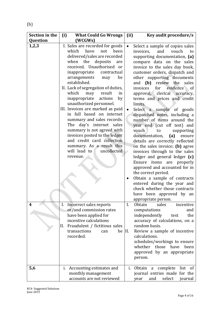| Section in the  | (i)<br><b>What Could Go Wrongs</b>                                                                                                                                                                                                                                                                                                                                                                                                                                                                                                                                                                                                                                       | Key audit procedure/s<br>(ii)                                                                                                                                                                                                                                                                                                                                                                                                                                                                                                                                                                                                                                                                                                                                                                                                                                                                                                                        |
|-----------------|--------------------------------------------------------------------------------------------------------------------------------------------------------------------------------------------------------------------------------------------------------------------------------------------------------------------------------------------------------------------------------------------------------------------------------------------------------------------------------------------------------------------------------------------------------------------------------------------------------------------------------------------------------------------------|------------------------------------------------------------------------------------------------------------------------------------------------------------------------------------------------------------------------------------------------------------------------------------------------------------------------------------------------------------------------------------------------------------------------------------------------------------------------------------------------------------------------------------------------------------------------------------------------------------------------------------------------------------------------------------------------------------------------------------------------------------------------------------------------------------------------------------------------------------------------------------------------------------------------------------------------------|
| <b>Question</b> | (WCGWs)                                                                                                                                                                                                                                                                                                                                                                                                                                                                                                                                                                                                                                                                  |                                                                                                                                                                                                                                                                                                                                                                                                                                                                                                                                                                                                                                                                                                                                                                                                                                                                                                                                                      |
| 1,2,3           | I. Sales are recorded for goods<br>which<br>have<br>not<br>been<br>delivered/sales are recorded<br>when the<br>deposits<br>are<br>received. Unauthorised or<br>inappropriate<br>contractual<br>be<br>arrangements<br>may<br>established.<br>II. Lack of segregation of duties,<br>may result<br>which<br>in<br>inappropriate<br>actions<br>by<br>unauthorized personnel.<br>III. Invoices are marked as paid<br>in full based on internet<br>summary and sales records.<br>The day's internet sales<br>summary is not agreed with<br>invoices posted to the ledger<br>and credit card collection<br>summary. As a result this<br>uncollected<br>will lead to<br>revenue. | Select a sample of copies sales<br>$\bullet$<br>invoices,<br>and<br>vouch<br>to<br>supporting documentation, (a)<br>compare data on the sales<br>invoice to the sales day book,<br>customer orders, dispatch and<br>other supporting documents<br>and $(b)$<br>review<br>the sales<br>invoices<br>evidence of<br>for<br>approval, clerical accuracy,<br>terms and prices and credit<br>limits.<br>Select a sample of goods<br>dispatched notes, including a<br>number of items around the<br>year end (cut off test) and<br>vouch<br>supporting<br>to<br>documentation,<br>(a)<br>ensure<br>details are correctly reflected<br>on the sales invoice; (b) agree<br>invoices through to the sales<br>ledger and general ledger (c)<br>items are properly<br>Ensure<br>approved and accounted for in<br>the correct period.<br>Obtain a sample of contracts<br>entered during the year and<br>check whether those contracts<br>have been approved by an |
| 4               | Incorrect sales reports<br>I.<br>or/and commission rates<br>have been applied for<br>incentive calculations<br>Fraudulent / fictitious sales<br>II.<br>transactions<br>can<br>recorded.                                                                                                                                                                                                                                                                                                                                                                                                                                                                                  | appropriate person.<br><b>Obtain</b><br>sales<br>I.<br>incentive<br>computations<br>and<br>independently<br>the<br>test<br>accuracy of calculations, on a<br>random basis.<br>Review a sample of incentive<br>be II.<br>calculations.<br>schedules/workings to ensure<br>whether<br>those<br>have<br>been<br>approved by an appropriate<br>person.                                                                                                                                                                                                                                                                                                                                                                                                                                                                                                                                                                                                   |
| 5,6             | i. Accounting estimates and<br>monthly management<br>accounts are not reviewed                                                                                                                                                                                                                                                                                                                                                                                                                                                                                                                                                                                           | complete<br>i. Obtain<br>list of<br>a<br>journal entries made for the<br>and<br>select<br>journal<br>year                                                                                                                                                                                                                                                                                                                                                                                                                                                                                                                                                                                                                                                                                                                                                                                                                                            |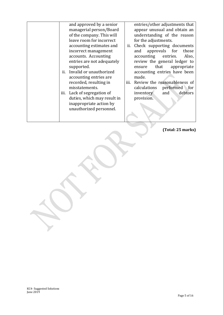| and approved by a senior<br>managerial person/Board<br>of the company. This will<br>leave room for incorrect<br>accounting estimates and<br>incorrect management<br>accounts. Accounting | entries/other adjustments that<br>appear unusual and obtain an<br>understanding of the reason<br>for the adjustments.<br>ii. Check supporting documents<br>approvals for<br>those<br>and<br>accounting<br>entries.<br>Also, |
|------------------------------------------------------------------------------------------------------------------------------------------------------------------------------------------|-----------------------------------------------------------------------------------------------------------------------------------------------------------------------------------------------------------------------------|
| entries are not adequately<br>supported.<br>ii. Invalid or unauthorized<br>accounting entries are<br>recorded, resulting in<br>misstatements.                                            | review the general ledger to<br>that<br>appropriate<br>ensure<br>accounting entries have been<br>made.<br>iii. Review the reasonableness of<br>calculations<br>performed for                                                |
| Lack of segregation of<br>iii.<br>duties, which may result in<br>inappropriate action by<br>unauthorized personnel.                                                                      | debtors<br>and<br>inventory<br>provision.                                                                                                                                                                                   |

**(Total: 25 marks)**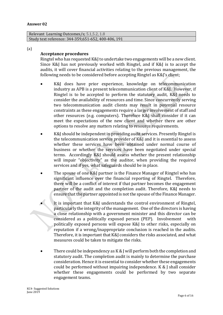Relevant Learning Outcomes/s; 5.1,5.2, 1.8 Study text reference: 344-359,651-652, 400-406, 191

(a)

# **Acceptance procedures**

Ringtel who has requested K&J to undertake two engagements will be a new client. Since K&J has not previously worked with Ringtel, and if K&J is to accept the audits, it will cover financial activities relating to the previous management, the following needs to be considered before accepting Ringtel as K&J's client;

- K&J does have prior experience, knowledge on telecommunication industry as APB is a present telecommunication client of K&J. However, if Ringtel is to be accepted to perform the statutory audit, K&J needs to consider the availability of resources and time. Since concurrently serving two telecommunication audit clients may result in potential resource constraints as these engagements require a larger involvement of staff and other resources (e.g. computers). Therefore K&J shall consider if it can meet the expectations of the new client and whether there are other options to resolve any matters relating to resource requirements.
- K&J should be independent in providing audit services. Presently Ringtel is the telecommunication service provider of K&J and it is essential to assess whether these services have been obtained under normal course of business or whether the services have been negotiated under special terms. Accordingly K&J should assess whether the present relationship will impair "objectivity" as the auditor, when providing the required services and if yes, what safeguards should be in place.
- The spouse of one K&J partner is the Finance Manager of Ringtel who has significant influence over the financial reporting of Ringtel. Therefore, there will be a conflict of interest if that partner becomes the engagement partner of the audit and the completion audit. Therefore, K&J needs to ensure that the partner appointed is not the spouse of the Finance Manager.
- It is important that K&J understands the control environment of Ringtel, particularly the integrity of the management. One of the directors is having a close relationship with a government minister and this director can be considered as a politically exposed person (PEP). Involvement with politically exposed persons will expose K&J to other risks, especially on reputation if a wrong/inappropriate conclusion is reached in the audits. Therefore, it is important that K&J considers the risks associated, and what measures could be taken to mitigate the risks.
- There could be independency as K & J will perform both the completion and statutory audit. The completion audit is mainly to determine the purchase consideration. Hence it is essential to consider whether these engagements could be performed without impairing independence. K & J shall consider whether these engagements could be performed by two separate engagement teams.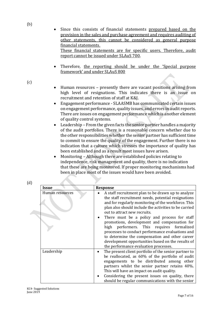- Since this consists of financial statements prepared based on the provision in the sales and purchase agreement and requires auditing of other statements, this cannot be considered as general purpose financial statements. These financial statements are for specific users. Therefore, audit report cannot be issued under SLAuS 700.
- Therefore, the reporting should be under the 'Special purpose framework' and under SLAuS 800

(c)

(b)

- Human resources presently there are vacant positions arising from high level of resignations. This indicates there is an issue on recruitment and retention of staff at K&J.
- Engagement performance SLAASMB has communicated certain issues on engagement performance, quality issues, and errors in audit reports. There are issues on engagement performance which is another element of quality control systems.
- Leadership From the given facts the senior partner handles a majority of the audit portfolios. There is a reasonable concern whether due to the other responsibilities whether the senior partner has sufficient time to commit to ensure the quality of the engagement. Further there is no indication that a culture which stresses the importance of quality has been established and as a result most issues have arisen.
- Monitoring Although there are established policies relating to independence, risk management and quality, there is no indication that these are being monitored. If proper monitoring mechanisms had been in place most of the issues would have been avoided.

| (d) |                 |                                                                                                                                                                                                                                                                                                                                                                                                                                                                                                                                                                                                               |
|-----|-----------------|---------------------------------------------------------------------------------------------------------------------------------------------------------------------------------------------------------------------------------------------------------------------------------------------------------------------------------------------------------------------------------------------------------------------------------------------------------------------------------------------------------------------------------------------------------------------------------------------------------------|
|     | Issue           | <b>Response</b>                                                                                                                                                                                                                                                                                                                                                                                                                                                                                                                                                                                               |
|     | Human resources | A staff recruitment plan to be drawn up to analyze<br>the staff recruitment needs, potential resignations<br>and for regularly monitoring of the workforce. This<br>plan also should include the activities to be carried<br>out to attract new recruits.<br>There must be a policy and process for staff<br>promotions, development and compensation for<br>performers. This requires formalized<br>high<br>processes to conduct performance evaluations and<br>to determine the compensation and other career<br>development opportunities based on the results of<br>the performance evaluation processes. |
|     | Leadership      | The present client portfolio of the senior partner to<br>be reallocated, as 60% of the portfolio of audit<br>engagements to be distributed among other<br>partners whilst the senior partner retains 40%.<br>This will have an impact on audit quality.<br>Considering the present issues on quality, there<br>should be regular communications with the senior                                                                                                                                                                                                                                               |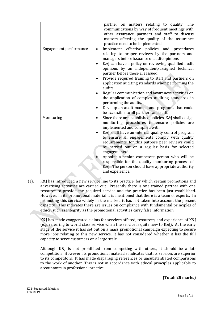|                        | partner on matters relating to quality. The<br>communications by way of frequent meetings with<br>other assurance partners and staff to discuss<br>matters affecting the quality of the assurance<br>practice need to be implemented.                                                                                                                                                                                                                                                                                                             |
|------------------------|---------------------------------------------------------------------------------------------------------------------------------------------------------------------------------------------------------------------------------------------------------------------------------------------------------------------------------------------------------------------------------------------------------------------------------------------------------------------------------------------------------------------------------------------------|
| Engagement performance | Implement effective policies and procedures<br>relating to proper reviews by the partners and<br>managers before issuance of audit opinions.<br>K&J can have a policy on reviewing qualified audit<br>opinions by an independent/assigned technical<br>partner before these are issued.<br>Provide required training to staff and partners on<br>application auditing standards when performing the<br>audits.<br>Regular communication and awareness activities on<br>the application of complex auditing standards in<br>performing the audits. |
|                        | Develop an audit manual and programs that could<br>be accessible to all partners and staff.                                                                                                                                                                                                                                                                                                                                                                                                                                                       |
| Monitoring             | Since there are established policies, K&J shall design<br>$\bullet$<br>monitoring procedures to ensure policies are<br>implemented and complied with.<br>K&J shall have an internal quality control program<br>to ensure all engagements comply with quality<br>requirements, for this putpose peer reviews could<br>be carried out on a regular basis for selected<br>engagements.<br>Appoint a senior competent person who will be                                                                                                              |
|                        | responsible for the quality monitoring process of<br>K&J. The person should have appropriate authority<br>and experience.                                                                                                                                                                                                                                                                                                                                                                                                                         |

(e). K&J has introduced a new service line to its practice, for which certain promotions and advertising activities are carried out. Presently there is one trained partner with one resource to provide the required service and the practice has been just established. However, in its promotional material it is mentioned that there is a team of experts. In promoting this service widely in the market, it has not taken into account the present capacity. This indicates there are issues on compliance with fundamental principles of ethics, such as integrity as the promotional activities carry false information.

K&J has made exaggerated claims for services offered, resources, and experience of K&J (e.g. referring to world class service when the service is quite new to K&J). At the early stage of the service it has set out on a mass promotional campaign expecting to secure more jobs relating to this new service. It has not considered whether it has the full capacity to serve customers on a large scale.

Although K&J is not prohibited from competing with others, it should be a fair competition. However, its promotional materials indicates that its services are superior to its competitors. It has made disparaging references or unsubstantiated comparisons to the work of another. This is not in accordance with ethical principles applicable to accountants in professional practice.

**(Total: 25 marks)**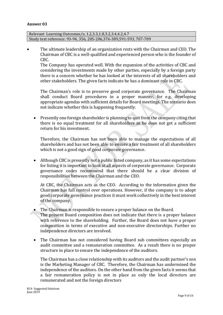#### **Answer 03**

Relevant Learning Outcomes/s; 1.2,3.3,1.8,3.2,3.4,4.2,4.7 Study text reference: 93-94, 356, 205-206,376-389,591-593, 707-709

 The ultimate leadership of an organization rests with the Chairman and CEO. The Chairman of CBC is a well-qualified and experienced person who is the founder of CBC.

The Company has operated well. With the expansion of the activities of CBC and considering the investments made by other parties, especially by a foreign party there is a concern whether he has looked at the interests of all shareholders and other stakeholders. The given facts indicate he has a dominant role in CBC.

The Chairman's role is to preserve good corporate governance. The Chairman shall conduct Board procedures in a proper manner, for e.g. developing appropriate agendas with sufficient details for Board meetings. The scenario does not indicate whether this is happening frequently.

• Presently one foreign shareholder is planning to quit from the company citing that there is no equal treatment for all shareholders as he does not get a sufficient return for his investment.

Therefore, the Chairman has not been able to manage the expectations of all shareholders and has not been able to ensure a fair treatment of all shareholders which is not a good sign of good corporate governance.

 Although CBC is presently not a public listed company, as it has some expectations for listing it is important to look at all aspects of corporate governance. Corporate governance codes recommend that there should be a clear division of responsibilities between the Chairman and the CEO.

At CBC, the Chairman acts as the CEO. According to the information given the Chairman has full control over operations. However, if the company is to adopt good corporate governance practices it must work collectively in the best interest of the company.

- The Chairman is responsible to ensure a proper balance on the Board.
- The present Board composition does not indicate that there is a proper balance with reference to the shareholding. Further, the Board does not have a proper composition in terms of executive and non-executive directorships. Further no independence directors are involved.
- The Chairman has not considered having Board sub committees especially an audit committee and a remuneration committee. As a result there is no proper structure in place to ensure the independence of the auditors.

The Chairman has a close relationship with its auditors and the audit partner's son is the Marketing Manager of CBC. Therefore, the Chairman has undermined the independence of the auditors. On the other hand from the given facts it seems that a fair remuneration policy is not in place as only the local directors are remunerated and not the foreign directors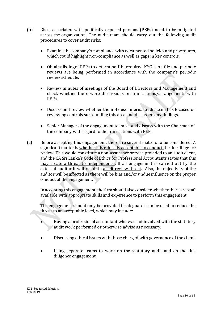- (b) Risks associated with politically exposed persons (PEPs) need to be mitigated across the organization. The audit team should carry out the following audit procedures to cover audit risks:
	- Examine the company's compliance with documented policies and procedures, which could highlight non-compliance as well as gaps in key controls.
	- Obtainalistingof PEPs to determineiftherequired KYC is on file and periodic reviews are being performed in accordance with the company's periodic review schedule.
	- Review minutes of meetings of the Board of Directors and Management and check whether there were discussions on transactions/arrangements with PEPs.
	- Discuss and review whether the in-house internal audit team has focused on reviewing controls surrounding this area and discussed any findings.
	- Senior Manager of the engagement team should discuss with the Chairman of the company with regard to the transactions with PEP.
- (c) Before accepting this engagement, there are several matters to be considered. A significant matter is whether it is ethically acceptable to conduct the due diligence review. This would constitute a non-assurance service provided to an audit client, and the CA Sri Lanka's Code of Ethics for Professional Accountants states that this may create a threat to independence**.** If an engagement is carried out by the external auditor it will result in a self-review threat**.** Also, the objectivity of the auditor will be affected as there will be bias and/or undue influence on the proper conduct of the engagement**.**

In accepting this engagement, the firm should also consider whether there are staff available with appropriate skills and experience to perform this engagement.

The engagement should only be provided if safeguards can be used to reduce the threat to an acceptable level, which may include:

- Having a professional accountant who was not involved with the statutory audit work performed or otherwise advise as necessary.
- Discussing ethical issues with those charged with governance of the client.
- Using separate teams to work on the statutory audit and on the due diligence engagement.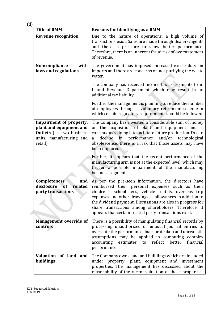| ٠ | v<br>u |
|---|--------|
|   | _      |

| <b>Title of RMM</b>                                                                                                     | <b>Reasons for Identifying as a RMM</b>                                                                                                                                                                                                                                                                                                                                                                          |
|-------------------------------------------------------------------------------------------------------------------------|------------------------------------------------------------------------------------------------------------------------------------------------------------------------------------------------------------------------------------------------------------------------------------------------------------------------------------------------------------------------------------------------------------------|
| <b>Revenue recognition</b>                                                                                              | Due to the nature of operations, a high volume of<br>transactions exist. Sales are made through dealers/agents<br>and there is pressure to show better performance.<br>Therefore, there is an inherent fraud risk of overstatement<br>of revenue.                                                                                                                                                                |
| Noncompliance<br>with<br>laws and regulations                                                                           | The government has imposed increased excise duty on<br>imports and there are concerns on not purifying the waste<br>water.                                                                                                                                                                                                                                                                                       |
|                                                                                                                         | The company has received income tax assessments from<br>Inland Revenue Department which may result in an<br>additional tax liability.                                                                                                                                                                                                                                                                            |
|                                                                                                                         | Further, the management is planning to reduce the number<br>of employees through a voluntary retirement scheme in<br>which certain regulatory requirements should be followed.                                                                                                                                                                                                                                   |
| Impairment of property,<br>plant and equipment and<br>Outlets (i.e. two business<br>units, manufacturing and<br>retail) | The Company has invested a considerable sum of money<br>on the acquisition of plant and equipment and is<br>continuously doing it to facilitate future production. Due to<br>performance<br>and/or<br>decline<br>technological<br>in<br>a<br>obsolescence, there is a risk that those assets may have<br>been impaired.                                                                                          |
|                                                                                                                         | Further, it appears that the recent performance of the<br>manufacturing arm is not at the expected level, which may<br>trigger a possible impairment of the manufacturing<br>business segment.                                                                                                                                                                                                                   |
| <b>Completeness</b><br>and<br>disclosure<br>related<br><b>of</b><br>party transactions                                  | As per the pre-seen information, the directors have<br>reimbursed their personal expenses such as<br>their<br>children's school fees, vehicle rentals, overseas trip<br>expenses and other drawings as allowances in addition to<br>the dividend payment. Discussions are also in progress for<br>share transactions among shareholders. Therefore, it<br>appears that certain related party transactions exist. |
| <b>Management override of</b><br>controls                                                                               | There is a possibility of manipulating financial records by<br>processing unauthorized or unusual journal entries to<br>overstate the performance. Inaccurate data and unrealistic<br>assumptions may be applied in computing complex<br>accounting<br>financial<br>estimates to reflect better<br>performance.                                                                                                  |
| of land and<br><b>Valuation</b><br>buildings                                                                            | The Company owns land and buildings which are included<br>under property, plant, equipment and investment<br>properties. The management has discussed about the<br>reasonability of the recent valuation of those properties.                                                                                                                                                                                    |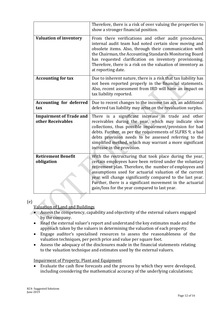|                                                     | Therefore, there is a risk of over valuing the properties to<br>show a stronger financial position.                                                                                                                                                                                                                                                                                                                 |
|-----------------------------------------------------|---------------------------------------------------------------------------------------------------------------------------------------------------------------------------------------------------------------------------------------------------------------------------------------------------------------------------------------------------------------------------------------------------------------------|
| <b>Valuation of inventory</b>                       | From there verifications and other audit procedures,<br>internal audit team had noted certain slow moving and<br>obsolete items. Also, through their communication with<br>the Chairman, the Accounting Standards Monitoring Board<br>has requested clarification on inventory provisioning.<br>Therefore, there is a risk on the valuation of inventory as<br>at reporting date.                                   |
| <b>Accounting for tax</b>                           | Due to inherent nature, there is a risk that tax liability has<br>not been reported properly in the financial statements.<br>Also, recent assessment from IRD will have an impact on<br>tax liability reported.                                                                                                                                                                                                     |
| <b>Accounting for deferred</b><br>tax               | Due to recent changes to the income tax act, an additional<br>deferred tax liability may arise on the revaluation surplus.                                                                                                                                                                                                                                                                                          |
| <b>Impairment of Trade and</b><br>other Receivables | There is a significant increase in trade and other<br>receivables during the year, which may indicate slow<br>collections, thus possible impairment/provision for bad<br>debts. Further, as per the requirements of SLFRS 9, a bad<br>debts provision needs to be assessed referring to the<br>simplified method, which may warrant a more significant<br>increase in the provision.                                |
| <b>Retirement Benefit</b><br>obligation             | With the restructuring that took place during the year,<br>certain employees have been retired under the voluntary<br>retirement plan. Therefore, the number of employees and<br>assumptions used for actuarial valuation of the current<br>year will change significantly compared to the last year.<br>Further, there is a significant movement in the actuarial<br>gain/loss for the year compared to last year. |

## (e)

Valuation of Land and Buildings

- Assess the competency, capability and objectivity of the external valuers engaged by the company.
- Read the external valuer's report and understand the key estimates made and the approach taken by the valuers in determining the valuation of each property.
- Engage auditor's specialised resources to assess the reasonableness of the valuation techniques, per perch price and value per square foot.
- Assess the adequacy of the disclosures made in the financial statements relating to the valuation technique and estimates used by the external valuers.

## Impairment of Property, Plant and Equipment

 Evaluate the cash flow forecasts and the process by which they were developed, including considering the mathematical accuracy of the underlying calculations;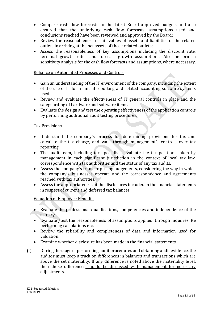- Compare cash flow forecasts to the latest Board approved budgets and also ensured that the underlying cash flow forecasts, assumptions used and conclusions reached have been reviewed and approved by the Board;
- Review the reasonableness of fair values of assets and liabilities of the related outlets in arriving at the net assets of those related outlets;
- Assess the reasonableness of key assumptions including the discount rate, terminal growth rates and forecast growth assumptions. Also perform a sensitivity analysis for the cash flow forecasts and assumptions, where necessary.

#### Reliance on Automated Processes and Controls

- Gain an understanding of the IT environment of the company, including the extent of the use of IT for financial reporting and related accounting software systems used.
- Review and evaluate the effectiveness of IT general controls in place and the safeguarding of hardware and software items.
- Evaluate the design and test the operating effectiveness of the application controls by performing additional audit testing procedures.

#### Tax Provisions

- Understand the company's process for determining provisions for tax and calculate the tax charge, and walk through management's controls over tax reporting.
- The audit team, including tax specialists, evaluate the tax positions taken by management in each significant jurisdiction in the context of local tax law, correspondence with tax authorities and the status of any tax audits.
- Assess the company's transfer pricing judgements, considering the way in which the company's businesses operate and the correspondence and agreements reached with tax authorities.
- Assess the appropriateness of the disclosures included in the financial statements in respect of current and deferred tax balances.

## Valuation of Employee Benefits

- Evaluate the professional qualifications, competencies and independence of the actuary.
- Evaluate /test the reasonableness of assumptions applied, through inquiries, Re performing calculations etc.
- Review the reliability and completeness of data and information used for valuation.
- Examine whether disclosure has been made in the financial statements.
- (f) During the stage of performing audit procedures and obtaining audit evidence, the auditor must keep a track on differences in balances and transactions which are above the set materiality. If any difference is noted above the materiality level, then those differences should be discussed with management for necessary adjustments.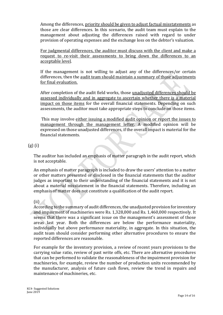Among the differences, priority should be given to adjust factual misstatements as those are clear differences. In this scenario, the audit team must explain to the management about adjusting the differences raised with regard to under provision of operating expenses and the exchange loss on the debtor's valuation.

For judgmental differences, the auditor must discuss with the client and make a request to re-visit their assessments to bring down the differences to an acceptable level.

If the management is not willing to adjust any of the differences/or certain differences, then the audit team should maintain a summary of those adjustments for final evaluation.

After completion of the audit field works, those unadjusted differences should be assessed individually and in aggregate to ascertain whether there is a material impact on those items for the overall financial statements. Depending on such assessments, the auditor must take appropriate steps to conclude on those items.

This may involve either issuing a modified audit opinion or report the issues to management through the management letter. A modified opinion will be expressed on those unadjusted differences, if the overall impact is material for the financial statements.

# (g) (i)

The auditor has included an emphasis of matter paragraph in the audit report, which is not acceptable.

An emphasis of matter paragraph is included to draw the users' attention to a matter or other matters presented or disclosed in the financial statements that the auditor judges as important to their understanding of the financial statements and it is not about a material misstatement in the financial statements. Therefore, including an emphasis of matter does not constitute a qualification of the audit report.

## (ii)

According to the summary of audit differences, the unadjusted provision for inventory and impairment of machineries were Rs. 1,328,000 and Rs. 1,460,000 respectively. It seems that there was a significant issue on the management's assessment of those areas last year. Both the differences are below the performance materiality, individually but above performance materiality, in aggregate. In this situation, the audit team should consider performing other alternative procedures to ensure the reported differences are reasonable.

For example for the inventory provision, a review of recent years provisions to the carrying value ratio, review of past write offs, etc. There are alternative procedures that can be performed to validate the reasonableness of the impairment provision for machineries, for example, review the number of production units recommended by the manufacturer, analysis of future cash flows, review the trend in repairs and maintenance of machineries, etc.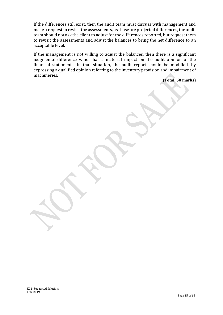If the differences still exist, then the audit team must discuss with management and make a request to revisit the assessments, as those are projected differences, the audit team should not ask the client to adjust for the differences reported, but request them to revisit the assessments and adjust the balances to bring the net difference to an acceptable level.

If the management is not willing to adjust the balances, then there is a significant judgmental difference which has a material impact on the audit opinion of the financial statements. In that situation, the audit report should be modified, by expressing a qualified opinion referring to the inventory provision and impairment of machineries.

**(Total: 50 marks)**